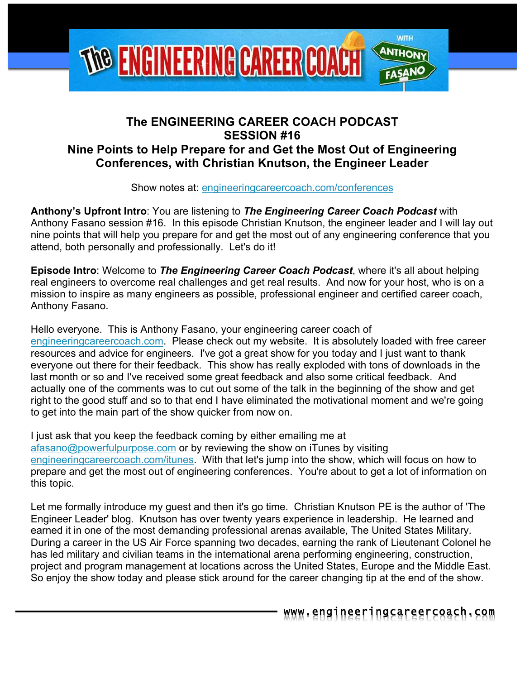

# **The ENGINEERING CAREER COACH PODCAST SESSION #16 Nine Points to Help Prepare for and Get the Most Out of Engineering Conferences, with Christian Knutson, the Engineer Leader**

Show notes at: engineeringcareercoach.com/conferences

**Anthony's Upfront Intro**: You are listening to *The Engineering Career Coach Podcast* with Anthony Fasano session #16. In this episode Christian Knutson, the engineer leader and I will lay out nine points that will help you prepare for and get the most out of any engineering conference that you attend, both personally and professionally. Let's do it!

**Episode Intro**: Welcome to *The Engineering Career Coach Podcast*, where it's all about helping real engineers to overcome real challenges and get real results. And now for your host, who is on a mission to inspire as many engineers as possible, professional engineer and certified career coach, Anthony Fasano.

Hello everyone. This is Anthony Fasano, your engineering career coach of engineeringcareercoach.com. Please check out my website. It is absolutely loaded with free career resources and advice for engineers. I've got a great show for you today and I just want to thank everyone out there for their feedback. This show has really exploded with tons of downloads in the last month or so and I've received some great feedback and also some critical feedback. And actually one of the comments was to cut out some of the talk in the beginning of the show and get right to the good stuff and so to that end I have eliminated the motivational moment and we're going to get into the main part of the show quicker from now on.

I just ask that you keep the feedback coming by either emailing me at afasano@powerfulpurpose.com or by reviewing the show on iTunes by visiting engineeringcareercoach.com/itunes. With that let's jump into the show, which will focus on how to prepare and get the most out of engineering conferences. You're about to get a lot of information on this topic.

Let me formally introduce my guest and then it's go time. Christian Knutson PE is the author of 'The Engineer Leader' blog. Knutson has over twenty years experience in leadership. He learned and earned it in one of the most demanding professional arenas available, The United States Military. During a career in the US Air Force spanning two decades, earning the rank of Lieutenant Colonel he has led military and civilian teams in the international arena performing engineering, construction, project and program management at locations across the United States, Europe and the Middle East. So enjoy the show today and please stick around for the career changing tip at the end of the show.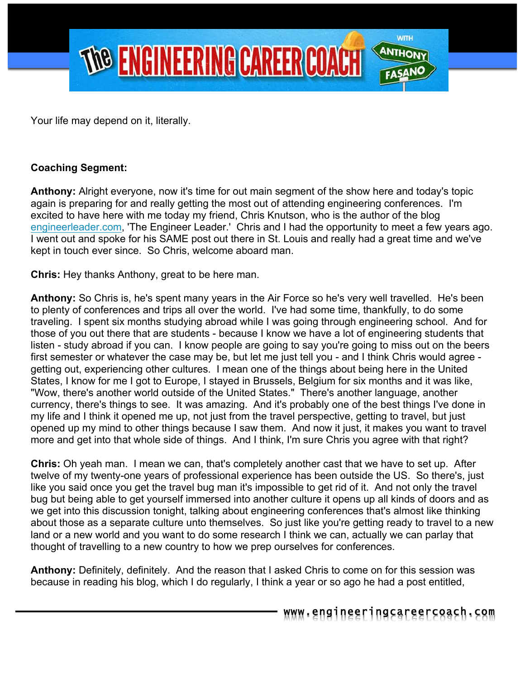

Your life may depend on it, literally.

#### **Coaching Segment:**

**Anthony:** Alright everyone, now it's time for out main segment of the show here and today's topic again is preparing for and really getting the most out of attending engineering conferences. I'm excited to have here with me today my friend, Chris Knutson, who is the author of the blog engineerleader.com, 'The Engineer Leader.' Chris and I had the opportunity to meet a few years ago. I went out and spoke for his SAME post out there in St. Louis and really had a great time and we've kept in touch ever since. So Chris, welcome aboard man.

**Chris:** Hey thanks Anthony, great to be here man.

**Anthony:** So Chris is, he's spent many years in the Air Force so he's very well travelled. He's been to plenty of conferences and trips all over the world. I've had some time, thankfully, to do some traveling. I spent six months studying abroad while I was going through engineering school. And for those of you out there that are students - because I know we have a lot of engineering students that listen - study abroad if you can. I know people are going to say you're going to miss out on the beers first semester or whatever the case may be, but let me just tell you - and I think Chris would agree getting out, experiencing other cultures. I mean one of the things about being here in the United States, I know for me I got to Europe, I stayed in Brussels, Belgium for six months and it was like, "Wow, there's another world outside of the United States." There's another language, another currency, there's things to see. It was amazing. And it's probably one of the best things I've done in my life and I think it opened me up, not just from the travel perspective, getting to travel, but just opened up my mind to other things because I saw them. And now it just, it makes you want to travel more and get into that whole side of things. And I think, I'm sure Chris you agree with that right?

**Chris:** Oh yeah man. I mean we can, that's completely another cast that we have to set up. After twelve of my twenty-one years of professional experience has been outside the US. So there's, just like you said once you get the travel bug man it's impossible to get rid of it. And not only the travel bug but being able to get yourself immersed into another culture it opens up all kinds of doors and as we get into this discussion tonight, talking about engineering conferences that's almost like thinking about those as a separate culture unto themselves. So just like you're getting ready to travel to a new land or a new world and you want to do some research I think we can, actually we can parlay that thought of travelling to a new country to how we prep ourselves for conferences.

**Anthony:** Definitely, definitely. And the reason that I asked Chris to come on for this session was because in reading his blog, which I do regularly, I think a year or so ago he had a post entitled,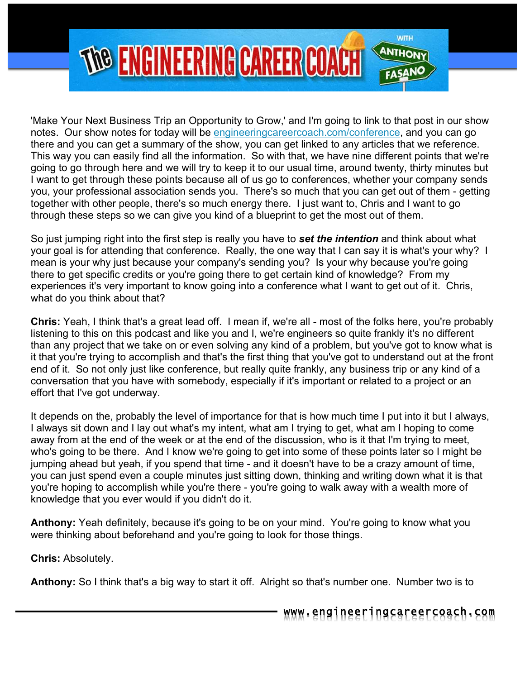

'Make Your Next Business Trip an Opportunity to Grow,' and I'm going to link to that post in our show notes. Our show notes for today will be engineeringcareercoach.com/conference, and you can go there and you can get a summary of the show, you can get linked to any articles that we reference. This way you can easily find all the information. So with that, we have nine different points that we're going to go through here and we will try to keep it to our usual time, around twenty, thirty minutes but I want to get through these points because all of us go to conferences, whether your company sends you, your professional association sends you. There's so much that you can get out of them - getting together with other people, there's so much energy there. I just want to, Chris and I want to go through these steps so we can give you kind of a blueprint to get the most out of them.

So just jumping right into the first step is really you have to *set the intention* and think about what your goal is for attending that conference. Really, the one way that I can say it is what's your why? I mean is your why just because your company's sending you? Is your why because you're going there to get specific credits or you're going there to get certain kind of knowledge? From my experiences it's very important to know going into a conference what I want to get out of it. Chris, what do you think about that?

**Chris:** Yeah, I think that's a great lead off. I mean if, we're all - most of the folks here, you're probably listening to this on this podcast and like you and I, we're engineers so quite frankly it's no different than any project that we take on or even solving any kind of a problem, but you've got to know what is it that you're trying to accomplish and that's the first thing that you've got to understand out at the front end of it. So not only just like conference, but really quite frankly, any business trip or any kind of a conversation that you have with somebody, especially if it's important or related to a project or an effort that I've got underway.

It depends on the, probably the level of importance for that is how much time I put into it but I always, I always sit down and I lay out what's my intent, what am I trying to get, what am I hoping to come away from at the end of the week or at the end of the discussion, who is it that I'm trying to meet, who's going to be there. And I know we're going to get into some of these points later so I might be jumping ahead but yeah, if you spend that time - and it doesn't have to be a crazy amount of time, you can just spend even a couple minutes just sitting down, thinking and writing down what it is that you're hoping to accomplish while you're there - you're going to walk away with a wealth more of knowledge that you ever would if you didn't do it.

**Anthony:** Yeah definitely, because it's going to be on your mind. You're going to know what you were thinking about beforehand and you're going to look for those things.

**Chris:** Absolutely.

**Anthony:** So I think that's a big way to start it off. Alright so that's number one. Number two is to

www.engineeringcareercoach.com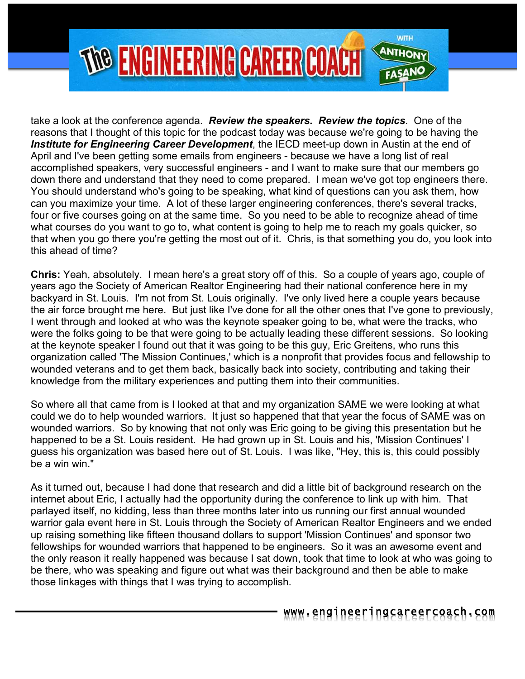

take a look at the conference agenda. *Review the speakers. Review the topics*. One of the reasons that I thought of this topic for the podcast today was because we're going to be having the *Institute for Engineering Career Development*, the IECD meet-up down in Austin at the end of April and I've been getting some emails from engineers - because we have a long list of real accomplished speakers, very successful engineers - and I want to make sure that our members go down there and understand that they need to come prepared. I mean we've got top engineers there. You should understand who's going to be speaking, what kind of questions can you ask them, how can you maximize your time. A lot of these larger engineering conferences, there's several tracks, four or five courses going on at the same time. So you need to be able to recognize ahead of time what courses do you want to go to, what content is going to help me to reach my goals quicker, so that when you go there you're getting the most out of it. Chris, is that something you do, you look into this ahead of time?

**Chris:** Yeah, absolutely. I mean here's a great story off of this. So a couple of years ago, couple of years ago the Society of American Realtor Engineering had their national conference here in my backyard in St. Louis. I'm not from St. Louis originally. I've only lived here a couple years because the air force brought me here. But just like I've done for all the other ones that I've gone to previously, I went through and looked at who was the keynote speaker going to be, what were the tracks, who were the folks going to be that were going to be actually leading these different sessions. So looking at the keynote speaker I found out that it was going to be this guy, Eric Greitens, who runs this organization called 'The Mission Continues,' which is a nonprofit that provides focus and fellowship to wounded veterans and to get them back, basically back into society, contributing and taking their knowledge from the military experiences and putting them into their communities.

So where all that came from is I looked at that and my organization SAME we were looking at what could we do to help wounded warriors. It just so happened that that year the focus of SAME was on wounded warriors. So by knowing that not only was Eric going to be giving this presentation but he happened to be a St. Louis resident. He had grown up in St. Louis and his, 'Mission Continues' I guess his organization was based here out of St. Louis. I was like, "Hey, this is, this could possibly be a win win."

As it turned out, because I had done that research and did a little bit of background research on the internet about Eric, I actually had the opportunity during the conference to link up with him. That parlayed itself, no kidding, less than three months later into us running our first annual wounded warrior gala event here in St. Louis through the Society of American Realtor Engineers and we ended up raising something like fifteen thousand dollars to support 'Mission Continues' and sponsor two fellowships for wounded warriors that happened to be engineers. So it was an awesome event and the only reason it really happened was because I sat down, took that time to look at who was going to be there, who was speaking and figure out what was their background and then be able to make those linkages with things that I was trying to accomplish.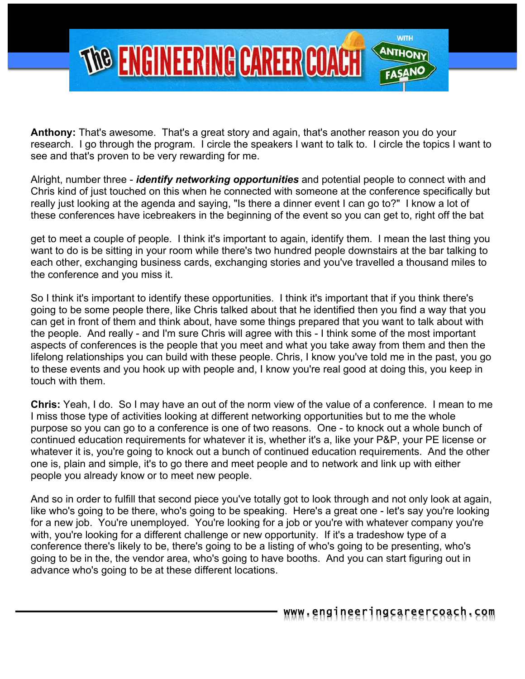

**Anthony:** That's awesome. That's a great story and again, that's another reason you do your research. I go through the program. I circle the speakers I want to talk to. I circle the topics I want to see and that's proven to be very rewarding for me.

Alright, number three - *identify networking opportunities* and potential people to connect with and Chris kind of just touched on this when he connected with someone at the conference specifically but really just looking at the agenda and saying, "Is there a dinner event I can go to?" I know a lot of these conferences have icebreakers in the beginning of the event so you can get to, right off the bat

get to meet a couple of people. I think it's important to again, identify them. I mean the last thing you want to do is be sitting in your room while there's two hundred people downstairs at the bar talking to each other, exchanging business cards, exchanging stories and you've travelled a thousand miles to the conference and you miss it.

So I think it's important to identify these opportunities. I think it's important that if you think there's going to be some people there, like Chris talked about that he identified then you find a way that you can get in front of them and think about, have some things prepared that you want to talk about with the people. And really - and I'm sure Chris will agree with this - I think some of the most important aspects of conferences is the people that you meet and what you take away from them and then the lifelong relationships you can build with these people. Chris, I know you've told me in the past, you go to these events and you hook up with people and, I know you're real good at doing this, you keep in touch with them.

**Chris:** Yeah, I do. So I may have an out of the norm view of the value of a conference. I mean to me I miss those type of activities looking at different networking opportunities but to me the whole purpose so you can go to a conference is one of two reasons. One - to knock out a whole bunch of continued education requirements for whatever it is, whether it's a, like your P&P, your PE license or whatever it is, you're going to knock out a bunch of continued education requirements. And the other one is, plain and simple, it's to go there and meet people and to network and link up with either people you already know or to meet new people.

And so in order to fulfill that second piece you've totally got to look through and not only look at again, like who's going to be there, who's going to be speaking. Here's a great one - let's say you're looking for a new job. You're unemployed. You're looking for a job or you're with whatever company you're with, you're looking for a different challenge or new opportunity. If it's a tradeshow type of a conference there's likely to be, there's going to be a listing of who's going to be presenting, who's going to be in the, the vendor area, who's going to have booths. And you can start figuring out in advance who's going to be at these different locations.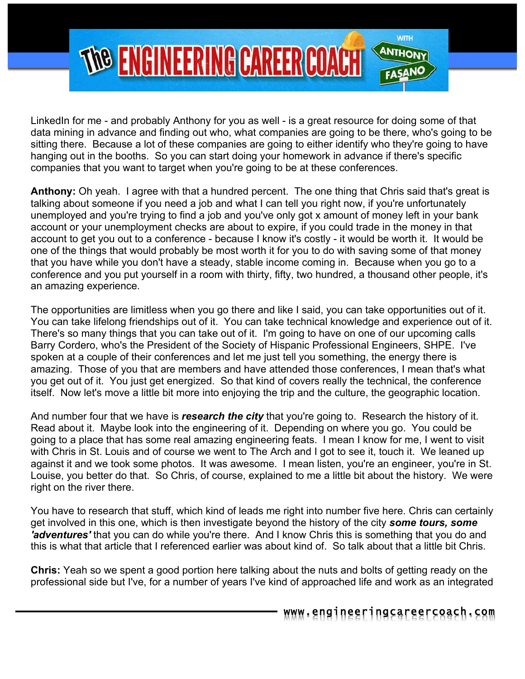

LinkedIn for me - and probably Anthony for you as well - is a great resource for doing some of that data mining in advance and finding out who, what companies are going to be there, who's going to be sitting there. Because a lot of these companies are going to either identify who they're going to have hanging out in the booths. So you can start doing your homework in advance if there's specific companies that you want to target when you're going to be at these conferences.

**Anthony:** Oh yeah. I agree with that a hundred percent. The one thing that Chris said that's great is talking about someone if you need a job and what I can tell you right now, if you're unfortunately unemployed and you're trying to find a job and you've only got x amount of money left in your bank account or your unemployment checks are about to expire, if you could trade in the money in that account to get you out to a conference - because I know it's costly - it would be worth it. It would be one of the things that would probably be most worth it for you to do with saving some of that money that you have while you don't have a steady, stable income coming in. Because when you go to a conference and you put yourself in a room with thirty, fifty, two hundred, a thousand other people, it's an amazing experience.

The opportunities are limitless when you go there and like I said, you can take opportunities out of it. You can take lifelong friendships out of it. You can take technical knowledge and experience out of it. There's so many things that you can take out of it. I'm going to have on one of our upcoming calls Barry Cordero, who's the President of the Society of Hispanic Professional Engineers, SHPE. I've spoken at a couple of their conferences and let me just tell you something, the energy there is amazing. Those of you that are members and have attended those conferences, I mean that's what you get out of it. You just get energized. So that kind of covers really the technical, the conference itself. Now let's move a little bit more into enjoying the trip and the culture, the geographic location.

And number four that we have is *research the city* that you're going to. Research the history of it. Read about it. Maybe look into the engineering of it. Depending on where you go. You could be going to a place that has some real amazing engineering feats. I mean I know for me, I went to visit with Chris in St. Louis and of course we went to The Arch and I got to see it, touch it. We leaned up against it and we took some photos. It was awesome. I mean listen, you're an engineer, you're in St. Louise, you better do that. So Chris, of course, explained to me a little bit about the history. We were right on the river there.

You have to research that stuff, which kind of leads me right into number five here. Chris can certainly get involved in this one, which is then investigate beyond the history of the city *some tours, some 'adventures'* that you can do while you're there. And I know Chris this is something that you do and this is what that article that I referenced earlier was about kind of. So talk about that a little bit Chris.

**Chris:** Yeah so we spent a good portion here talking about the nuts and bolts of getting ready on the professional side but I've, for a number of years I've kind of approached life and work as an integrated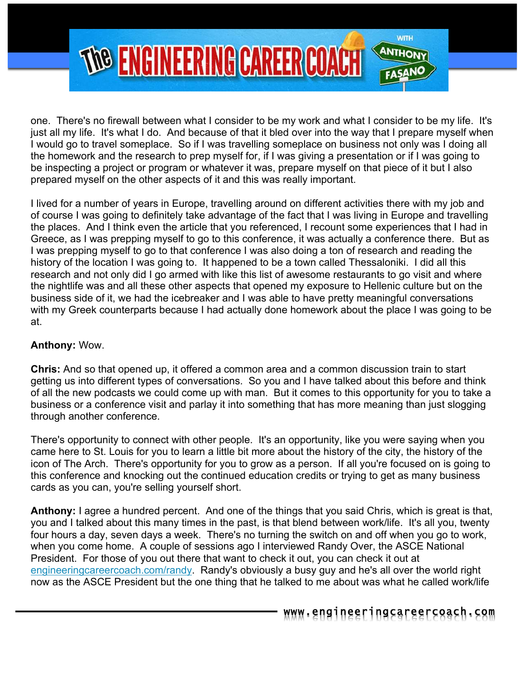

one. There's no firewall between what I consider to be my work and what I consider to be my life. It's just all my life. It's what I do. And because of that it bled over into the way that I prepare myself when I would go to travel someplace. So if I was travelling someplace on business not only was I doing all the homework and the research to prep myself for, if I was giving a presentation or if I was going to be inspecting a project or program or whatever it was, prepare myself on that piece of it but I also prepared myself on the other aspects of it and this was really important.

I lived for a number of years in Europe, travelling around on different activities there with my job and of course I was going to definitely take advantage of the fact that I was living in Europe and travelling the places. And I think even the article that you referenced, I recount some experiences that I had in Greece, as I was prepping myself to go to this conference, it was actually a conference there. But as I was prepping myself to go to that conference I was also doing a ton of research and reading the history of the location I was going to. It happened to be a town called Thessaloniki. I did all this research and not only did I go armed with like this list of awesome restaurants to go visit and where the nightlife was and all these other aspects that opened my exposure to Hellenic culture but on the business side of it, we had the icebreaker and I was able to have pretty meaningful conversations with my Greek counterparts because I had actually done homework about the place I was going to be at.

#### **Anthony:** Wow.

**Chris:** And so that opened up, it offered a common area and a common discussion train to start getting us into different types of conversations. So you and I have talked about this before and think of all the new podcasts we could come up with man. But it comes to this opportunity for you to take a business or a conference visit and parlay it into something that has more meaning than just slogging through another conference.

There's opportunity to connect with other people. It's an opportunity, like you were saying when you came here to St. Louis for you to learn a little bit more about the history of the city, the history of the icon of The Arch. There's opportunity for you to grow as a person. If all you're focused on is going to this conference and knocking out the continued education credits or trying to get as many business cards as you can, you're selling yourself short.

**Anthony:** I agree a hundred percent. And one of the things that you said Chris, which is great is that, you and I talked about this many times in the past, is that blend between work/life. It's all you, twenty four hours a day, seven days a week. There's no turning the switch on and off when you go to work, when you come home. A couple of sessions ago I interviewed Randy Over, the ASCE National President. For those of you out there that want to check it out, you can check it out at engineeringcareercoach.com/randy. Randy's obviously a busy guy and he's all over the world right now as the ASCE President but the one thing that he talked to me about was what he called work/life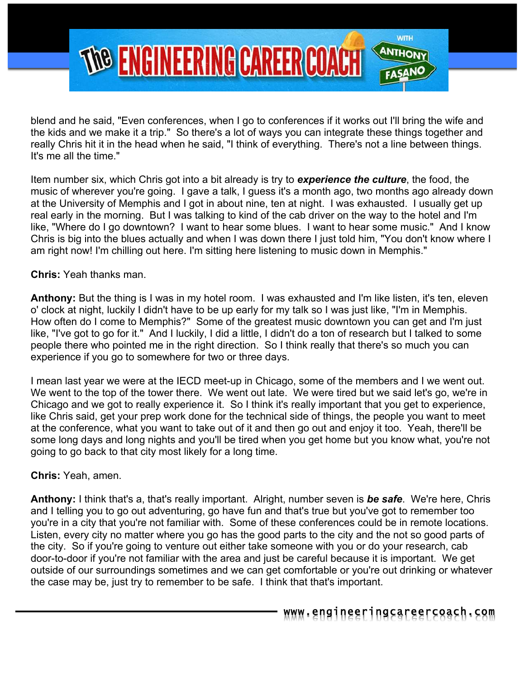

blend and he said, "Even conferences, when I go to conferences if it works out I'll bring the wife and the kids and we make it a trip." So there's a lot of ways you can integrate these things together and really Chris hit it in the head when he said, "I think of everything. There's not a line between things. It's me all the time."

Item number six, which Chris got into a bit already is try to *experience the culture*, the food, the music of wherever you're going. I gave a talk, I guess it's a month ago, two months ago already down at the University of Memphis and I got in about nine, ten at night. I was exhausted. I usually get up real early in the morning. But I was talking to kind of the cab driver on the way to the hotel and I'm like, "Where do I go downtown? I want to hear some blues. I want to hear some music." And I know Chris is big into the blues actually and when I was down there I just told him, "You don't know where I am right now! I'm chilling out here. I'm sitting here listening to music down in Memphis."

**Chris:** Yeah thanks man.

**Anthony:** But the thing is I was in my hotel room. I was exhausted and I'm like listen, it's ten, eleven o' clock at night, luckily I didn't have to be up early for my talk so I was just like, "I'm in Memphis. How often do I come to Memphis?" Some of the greatest music downtown you can get and I'm just like, "I've got to go for it." And I luckily, I did a little, I didn't do a ton of research but I talked to some people there who pointed me in the right direction. So I think really that there's so much you can experience if you go to somewhere for two or three days.

I mean last year we were at the IECD meet-up in Chicago, some of the members and I we went out. We went to the top of the tower there. We went out late. We were tired but we said let's go, we're in Chicago and we got to really experience it. So I think it's really important that you get to experience, like Chris said, get your prep work done for the technical side of things, the people you want to meet at the conference, what you want to take out of it and then go out and enjoy it too. Yeah, there'll be some long days and long nights and you'll be tired when you get home but you know what, you're not going to go back to that city most likely for a long time.

**Chris:** Yeah, amen.

**Anthony:** I think that's a, that's really important. Alright, number seven is *be safe*. We're here, Chris and I telling you to go out adventuring, go have fun and that's true but you've got to remember too you're in a city that you're not familiar with. Some of these conferences could be in remote locations. Listen, every city no matter where you go has the good parts to the city and the not so good parts of the city. So if you're going to venture out either take someone with you or do your research, cab door-to-door if you're not familiar with the area and just be careful because it is important. We get outside of our surroundings sometimes and we can get comfortable or you're out drinking or whatever the case may be, just try to remember to be safe. I think that that's important.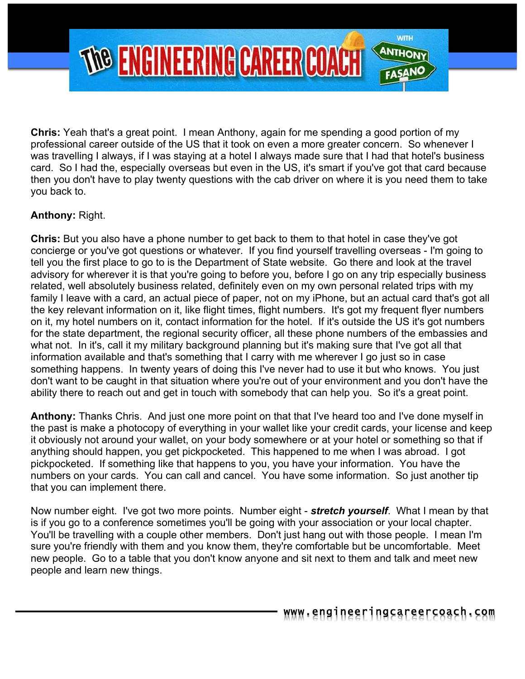

**Chris:** Yeah that's a great point. I mean Anthony, again for me spending a good portion of my professional career outside of the US that it took on even a more greater concern. So whenever I was travelling I always, if I was staying at a hotel I always made sure that I had that hotel's business card. So I had the, especially overseas but even in the US, it's smart if you've got that card because then you don't have to play twenty questions with the cab driver on where it is you need them to take you back to.

## **Anthony:** Right.

**Chris:** But you also have a phone number to get back to them to that hotel in case they've got concierge or you've got questions or whatever. If you find yourself travelling overseas - I'm going to tell you the first place to go to is the Department of State website. Go there and look at the travel advisory for wherever it is that you're going to before you, before I go on any trip especially business related, well absolutely business related, definitely even on my own personal related trips with my family I leave with a card, an actual piece of paper, not on my iPhone, but an actual card that's got all the key relevant information on it, like flight times, flight numbers. It's got my frequent flyer numbers on it, my hotel numbers on it, contact information for the hotel. If it's outside the US it's got numbers for the state department, the regional security officer, all these phone numbers of the embassies and what not. In it's, call it my military background planning but it's making sure that I've got all that information available and that's something that I carry with me wherever I go just so in case something happens. In twenty years of doing this I've never had to use it but who knows. You just don't want to be caught in that situation where you're out of your environment and you don't have the ability there to reach out and get in touch with somebody that can help you. So it's a great point.

**Anthony:** Thanks Chris. And just one more point on that that I've heard too and I've done myself in the past is make a photocopy of everything in your wallet like your credit cards, your license and keep it obviously not around your wallet, on your body somewhere or at your hotel or something so that if anything should happen, you get pickpocketed. This happened to me when I was abroad. I got pickpocketed. If something like that happens to you, you have your information. You have the numbers on your cards. You can call and cancel. You have some information. So just another tip that you can implement there.

Now number eight. I've got two more points. Number eight - *stretch yourself*. What I mean by that is if you go to a conference sometimes you'll be going with your association or your local chapter. You'll be travelling with a couple other members. Don't just hang out with those people. I mean I'm sure you're friendly with them and you know them, they're comfortable but be uncomfortable. Meet new people. Go to a table that you don't know anyone and sit next to them and talk and meet new people and learn new things.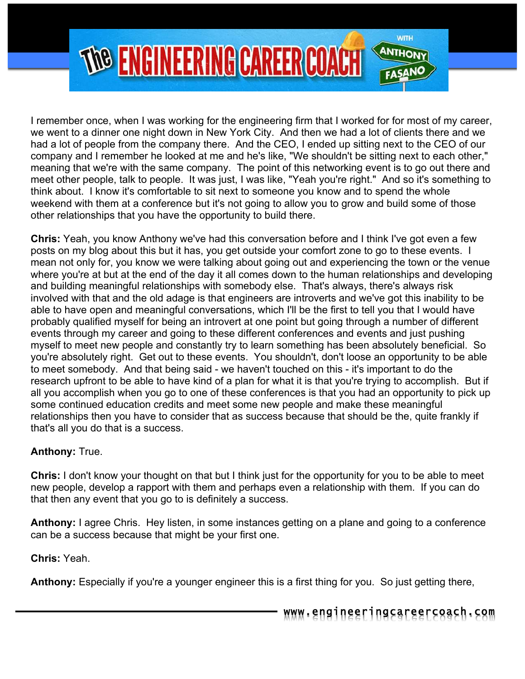

I remember once, when I was working for the engineering firm that I worked for for most of my career, we went to a dinner one night down in New York City. And then we had a lot of clients there and we had a lot of people from the company there. And the CEO, I ended up sitting next to the CEO of our company and I remember he looked at me and he's like, "We shouldn't be sitting next to each other," meaning that we're with the same company. The point of this networking event is to go out there and meet other people, talk to people. It was just, I was like, "Yeah you're right." And so it's something to think about. I know it's comfortable to sit next to someone you know and to spend the whole weekend with them at a conference but it's not going to allow you to grow and build some of those other relationships that you have the opportunity to build there.

**Chris:** Yeah, you know Anthony we've had this conversation before and I think I've got even a few posts on my blog about this but it has, you get outside your comfort zone to go to these events. I mean not only for, you know we were talking about going out and experiencing the town or the venue where you're at but at the end of the day it all comes down to the human relationships and developing and building meaningful relationships with somebody else. That's always, there's always risk involved with that and the old adage is that engineers are introverts and we've got this inability to be able to have open and meaningful conversations, which I'll be the first to tell you that I would have probably qualified myself for being an introvert at one point but going through a number of different events through my career and going to these different conferences and events and just pushing myself to meet new people and constantly try to learn something has been absolutely beneficial. So you're absolutely right. Get out to these events. You shouldn't, don't loose an opportunity to be able to meet somebody. And that being said - we haven't touched on this - it's important to do the research upfront to be able to have kind of a plan for what it is that you're trying to accomplish. But if all you accomplish when you go to one of these conferences is that you had an opportunity to pick up some continued education credits and meet some new people and make these meaningful relationships then you have to consider that as success because that should be the, quite frankly if that's all you do that is a success.

## **Anthony:** True.

**Chris:** I don't know your thought on that but I think just for the opportunity for you to be able to meet new people, develop a rapport with them and perhaps even a relationship with them. If you can do that then any event that you go to is definitely a success.

**Anthony:** I agree Chris. Hey listen, in some instances getting on a plane and going to a conference can be a success because that might be your first one.

**Chris:** Yeah.

**Anthony:** Especially if you're a younger engineer this is a first thing for you. So just getting there,

www.engineeringcareercoach.com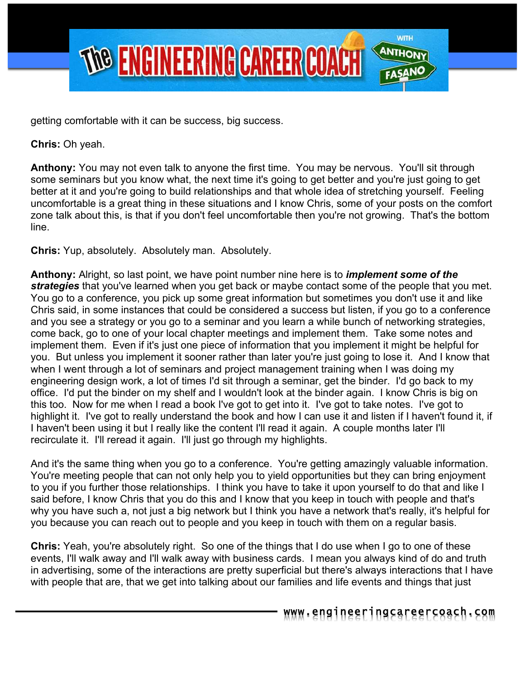

getting comfortable with it can be success, big success.

**Chris:** Oh yeah.

**Anthony:** You may not even talk to anyone the first time. You may be nervous. You'll sit through some seminars but you know what, the next time it's going to get better and you're just going to get better at it and you're going to build relationships and that whole idea of stretching yourself. Feeling uncomfortable is a great thing in these situations and I know Chris, some of your posts on the comfort zone talk about this, is that if you don't feel uncomfortable then you're not growing. That's the bottom line.

**Chris:** Yup, absolutely. Absolutely man. Absolutely.

**Anthony:** Alright, so last point, we have point number nine here is to *implement some of the strategies* that you've learned when you get back or maybe contact some of the people that you met. You go to a conference, you pick up some great information but sometimes you don't use it and like Chris said, in some instances that could be considered a success but listen, if you go to a conference and you see a strategy or you go to a seminar and you learn a while bunch of networking strategies, come back, go to one of your local chapter meetings and implement them. Take some notes and implement them. Even if it's just one piece of information that you implement it might be helpful for you. But unless you implement it sooner rather than later you're just going to lose it. And I know that when I went through a lot of seminars and project management training when I was doing my engineering design work, a lot of times I'd sit through a seminar, get the binder. I'd go back to my office. I'd put the binder on my shelf and I wouldn't look at the binder again. I know Chris is big on this too. Now for me when I read a book I've got to get into it. I've got to take notes. I've got to highlight it. I've got to really understand the book and how I can use it and listen if I haven't found it, if I haven't been using it but I really like the content I'll read it again. A couple months later I'll recirculate it. I'll reread it again. I'll just go through my highlights.

And it's the same thing when you go to a conference. You're getting amazingly valuable information. You're meeting people that can not only help you to yield opportunities but they can bring enjoyment to you if you further those relationships. I think you have to take it upon yourself to do that and like I said before, I know Chris that you do this and I know that you keep in touch with people and that's why you have such a, not just a big network but I think you have a network that's really, it's helpful for you because you can reach out to people and you keep in touch with them on a regular basis.

**Chris:** Yeah, you're absolutely right. So one of the things that I do use when I go to one of these events, I'll walk away and I'll walk away with business cards. I mean you always kind of do and truth in advertising, some of the interactions are pretty superficial but there's always interactions that I have with people that are, that we get into talking about our families and life events and things that just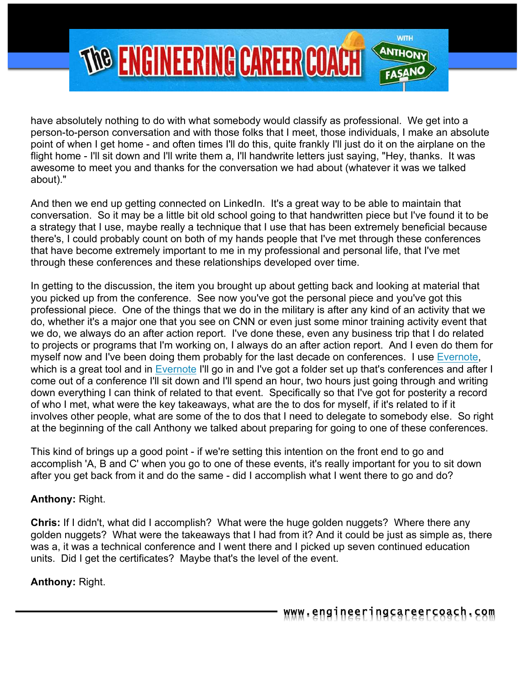

have absolutely nothing to do with what somebody would classify as professional. We get into a person-to-person conversation and with those folks that I meet, those individuals, I make an absolute point of when I get home - and often times I'll do this, quite frankly I'll just do it on the airplane on the flight home - I'll sit down and I'll write them a, I'll handwrite letters just saying, "Hey, thanks. It was awesome to meet you and thanks for the conversation we had about (whatever it was we talked about)."

And then we end up getting connected on LinkedIn. It's a great way to be able to maintain that conversation. So it may be a little bit old school going to that handwritten piece but I've found it to be a strategy that I use, maybe really a technique that I use that has been extremely beneficial because there's, I could probably count on both of my hands people that I've met through these conferences that have become extremely important to me in my professional and personal life, that I've met through these conferences and these relationships developed over time.

In getting to the discussion, the item you brought up about getting back and looking at material that you picked up from the conference. See now you've got the personal piece and you've got this professional piece. One of the things that we do in the military is after any kind of an activity that we do, whether it's a major one that you see on CNN or even just some minor training activity event that we do, we always do an after action report. I've done these, even any business trip that I do related to projects or programs that I'm working on, I always do an after action report. And I even do them for myself now and I've been doing them probably for the last decade on conferences. I use Evernote, which is a great tool and in Evernote I'll go in and I've got a folder set up that's conferences and after I come out of a conference I'll sit down and I'll spend an hour, two hours just going through and writing down everything I can think of related to that event. Specifically so that I've got for posterity a record of who I met, what were the key takeaways, what are the to dos for myself, if it's related to if it involves other people, what are some of the to dos that I need to delegate to somebody else. So right at the beginning of the call Anthony we talked about preparing for going to one of these conferences.

This kind of brings up a good point - if we're setting this intention on the front end to go and accomplish 'A, B and C' when you go to one of these events, it's really important for you to sit down after you get back from it and do the same - did I accomplish what I went there to go and do?

#### **Anthony:** Right.

**Chris:** If I didn't, what did I accomplish? What were the huge golden nuggets? Where there any golden nuggets? What were the takeaways that I had from it? And it could be just as simple as, there was a, it was a technical conference and I went there and I picked up seven continued education units. Did I get the certificates? Maybe that's the level of the event.

## **Anthony:** Right.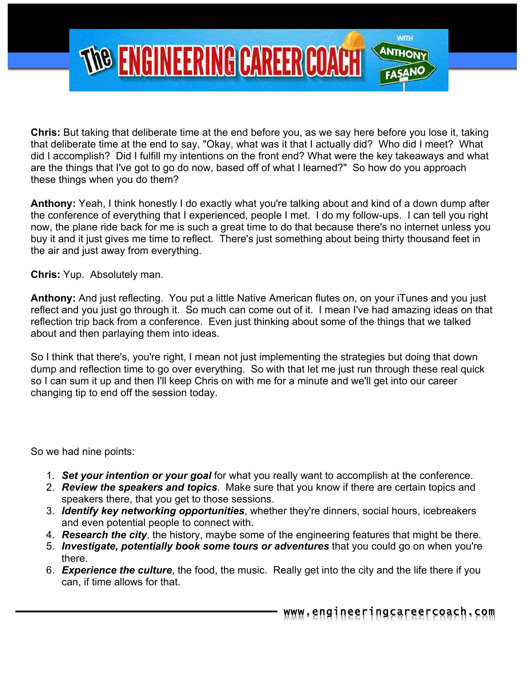

**Chris:** But taking that deliberate time at the end before you, as we say here before you lose it, taking that deliberate time at the end to say, "Okay, what was it that I actually did? Who did I meet? What did I accomplish? Did I fulfill my intentions on the front end? What were the key takeaways and what are the things that I've got to go do now, based off of what I learned?" So how do you approach these things when you do them?

**Anthony:** Yeah, I think honestly I do exactly what you're talking about and kind of a down dump after the conference of everything that I experienced, people I met. I do my follow-ups. I can tell you right now, the plane ride back for me is such a great time to do that because there's no internet unless you buy it and it just gives me time to reflect. There's just something about being thirty thousand feet in the air and just away from everything.

**Chris:** Yup. Absolutely man.

**Anthony:** And just reflecting. You put a little Native American flutes on, on your iTunes and you just reflect and you just go through it. So much can come out of it. I mean I've had amazing ideas on that reflection trip back from a conference. Even just thinking about some of the things that we talked about and then parlaying them into ideas.

So I think that there's, you're right, I mean not just implementing the strategies but doing that down dump and reflection time to go over everything. So with that let me just run through these real quick so I can sum it up and then I'll keep Chris on with me for a minute and we'll get into our career changing tip to end off the session today.

So we had nine points:

- 1. *Set your intention or your goal* for what you really want to accomplish at the conference.
- 2. *Review the speakers and topics*. Make sure that you know if there are certain topics and speakers there, that you get to those sessions.
- 3. *Identify key networking opportunities*, whether they're dinners, social hours, icebreakers and even potential people to connect with.
- 4. *Research the city*, the history, maybe some of the engineering features that might be there.
- 5. *Investigate, potentially book some tours or adventures* that you could go on when you're there.
- 6. *Experience the culture*, the food, the music. Really get into the city and the life there if you can, if time allows for that.

www.engineeringcareercoach.com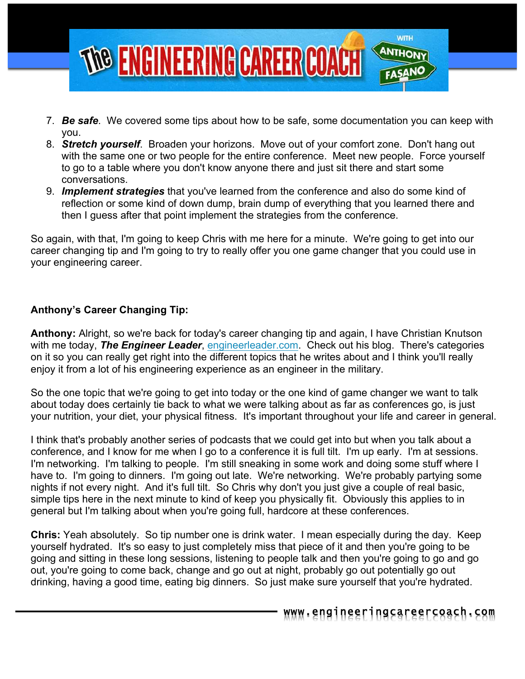

- 7. *Be safe*. We covered some tips about how to be safe, some documentation you can keep with you.
- 8. *Stretch yourself*. Broaden your horizons. Move out of your comfort zone. Don't hang out with the same one or two people for the entire conference. Meet new people. Force yourself to go to a table where you don't know anyone there and just sit there and start some conversations.
- 9. *Implement strategies* that you've learned from the conference and also do some kind of reflection or some kind of down dump, brain dump of everything that you learned there and then I guess after that point implement the strategies from the conference.

So again, with that, I'm going to keep Chris with me here for a minute. We're going to get into our career changing tip and I'm going to try to really offer you one game changer that you could use in your engineering career.

## **Anthony's Career Changing Tip:**

**Anthony:** Alright, so we're back for today's career changing tip and again, I have Christian Knutson with me today, *The Engineer Leader*, engineerleader.com. Check out his blog. There's categories on it so you can really get right into the different topics that he writes about and I think you'll really enjoy it from a lot of his engineering experience as an engineer in the military.

So the one topic that we're going to get into today or the one kind of game changer we want to talk about today does certainly tie back to what we were talking about as far as conferences go, is just your nutrition, your diet, your physical fitness. It's important throughout your life and career in general.

I think that's probably another series of podcasts that we could get into but when you talk about a conference, and I know for me when I go to a conference it is full tilt. I'm up early. I'm at sessions. I'm networking. I'm talking to people. I'm still sneaking in some work and doing some stuff where I have to. I'm going to dinners. I'm going out late. We're networking. We're probably partying some nights if not every night. And it's full tilt. So Chris why don't you just give a couple of real basic, simple tips here in the next minute to kind of keep you physically fit. Obviously this applies to in general but I'm talking about when you're going full, hardcore at these conferences.

**Chris:** Yeah absolutely. So tip number one is drink water. I mean especially during the day. Keep yourself hydrated. It's so easy to just completely miss that piece of it and then you're going to be going and sitting in these long sessions, listening to people talk and then you're going to go and go out, you're going to come back, change and go out at night, probably go out potentially go out drinking, having a good time, eating big dinners. So just make sure yourself that you're hydrated.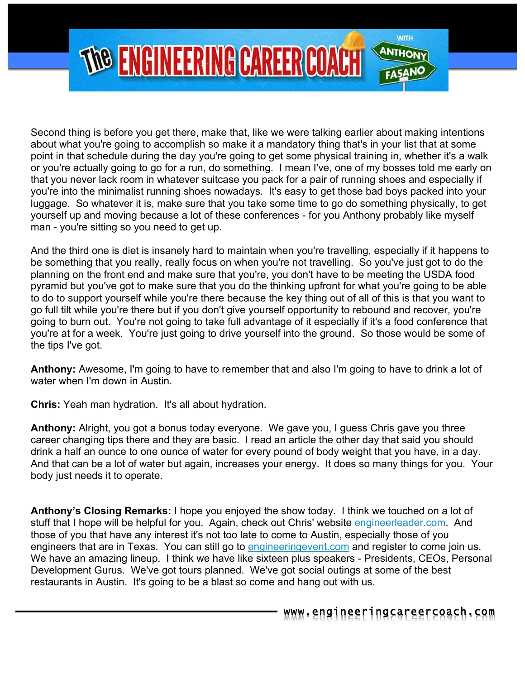

Second thing is before you get there, make that, like we were talking earlier about making intentions about what you're going to accomplish so make it a mandatory thing that's in your list that at some point in that schedule during the day you're going to get some physical training in, whether it's a walk or you're actually going to go for a run, do something. I mean I've, one of my bosses told me early on that you never lack room in whatever suitcase you pack for a pair of running shoes and especially if you're into the minimalist running shoes nowadays. It's easy to get those bad boys packed into your luggage. So whatever it is, make sure that you take some time to go do something physically, to get yourself up and moving because a lot of these conferences - for you Anthony probably like myself man - you're sitting so you need to get up.

And the third one is diet is insanely hard to maintain when you're travelling, especially if it happens to be something that you really, really focus on when you're not travelling. So you've just got to do the planning on the front end and make sure that you're, you don't have to be meeting the USDA food pyramid but you've got to make sure that you do the thinking upfront for what you're going to be able to do to support yourself while you're there because the key thing out of all of this is that you want to go full tilt while you're there but if you don't give yourself opportunity to rebound and recover, you're going to burn out. You're not going to take full advantage of it especially if it's a food conference that you're at for a week. You're just going to drive yourself into the ground. So those would be some of the tips I've got.

**Anthony:** Awesome, I'm going to have to remember that and also I'm going to have to drink a lot of water when I'm down in Austin.

**Chris:** Yeah man hydration. It's all about hydration.

**Anthony:** Alright, you got a bonus today everyone. We gave you, I guess Chris gave you three career changing tips there and they are basic. I read an article the other day that said you should drink a half an ounce to one ounce of water for every pound of body weight that you have, in a day. And that can be a lot of water but again, increases your energy. It does so many things for you. Your body just needs it to operate.

**Anthony's Closing Remarks:** I hope you enjoyed the show today. I think we touched on a lot of stuff that I hope will be helpful for you. Again, check out Chris' website engineerleader.com. And those of you that have any interest it's not too late to come to Austin, especially those of you engineers that are in Texas. You can still go to engineeringevent.com and register to come join us. We have an amazing lineup. I think we have like sixteen plus speakers - Presidents, CEOs, Personal Development Gurus. We've got tours planned. We've got social outings at some of the best restaurants in Austin. It's going to be a blast so come and hang out with us.